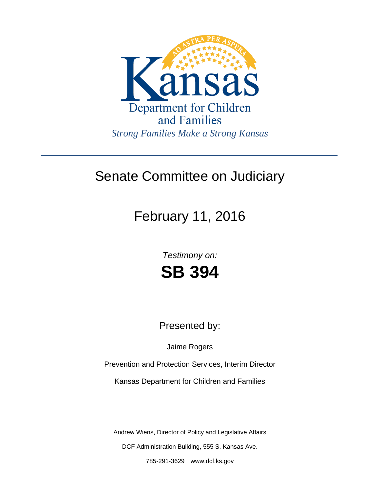

## Senate Committee on Judiciary

# February 11, 2016

*Testimony on:* **SB 394**

Presented by:

Jaime Rogers

Prevention and Protection Services, Interim Director

Kansas Department for Children and Families

Andrew Wiens, Director of Policy and Legislative Affairs

DCF Administration Building, 555 S. Kansas Ave.

785-291-3629 www.dcf.ks.gov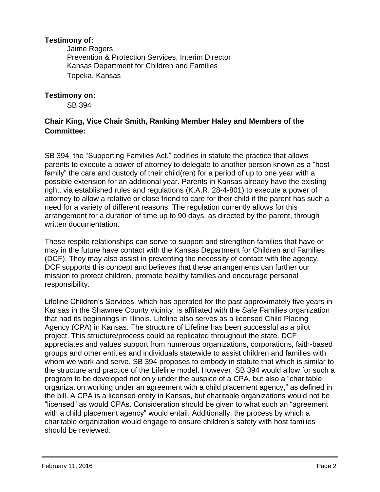#### **Testimony of:**

 Jaime Rogers Prevention & Protection Services, Interim Director Kansas Department for Children and Families Topeka, Kansas

#### **Testimony on:**

SB 394

### **Chair King, Vice Chair Smith, Ranking Member Haley and Members of the Committee:**

SB 394, the "Supporting Families Act," codifies in statute the practice that allows parents to execute a power of attorney to delegate to another person known as a "host family" the care and custody of their child(ren) for a period of up to one year with a possible extension for an additional year. Parents in Kansas already have the existing right, via established rules and regulations (K.A.R. 28-4-801) to execute a power of attorney to allow a relative or close friend to care for their child if the parent has such a need for a variety of different reasons. The regulation currently allows for this arrangement for a duration of time up to 90 days, as directed by the parent, through written documentation.

These respite relationships can serve to support and strengthen families that have or may in the future have contact with the Kansas Department for Children and Families (DCF). They may also assist in preventing the necessity of contact with the agency. DCF supports this concept and believes that these arrangements can further our mission to protect children, promote healthy families and encourage personal responsibility.

Lifeline Children's Services, which has operated for the past approximately five years in Kansas in the Shawnee County vicinity, is affiliated with the Safe Families organization that had its beginnings in Illinois. Lifeline also serves as a licensed Child Placing Agency (CPA) in Kansas. The structure of Lifeline has been successful as a pilot project. This structure/process could be replicated throughout the state. DCF appreciates and values support from numerous organizations, corporations, faith-based groups and other entities and individuals statewide to assist children and families with whom we work and serve. SB 394 proposes to embody in statute that which is similar to the structure and practice of the Lifeline model. However, SB 394 would allow for such a program to be developed not only under the auspice of a CPA, but also a "charitable organization working under an agreement with a child placement agency," as defined in the bill. A CPA is a licensed entity in Kansas, but charitable organizations would not be "licensed" as would CPAs. Consideration should be given to what such an "agreement with a child placement agency" would entail. Additionally, the process by which a charitable organization would engage to ensure children's safety with host families should be reviewed.